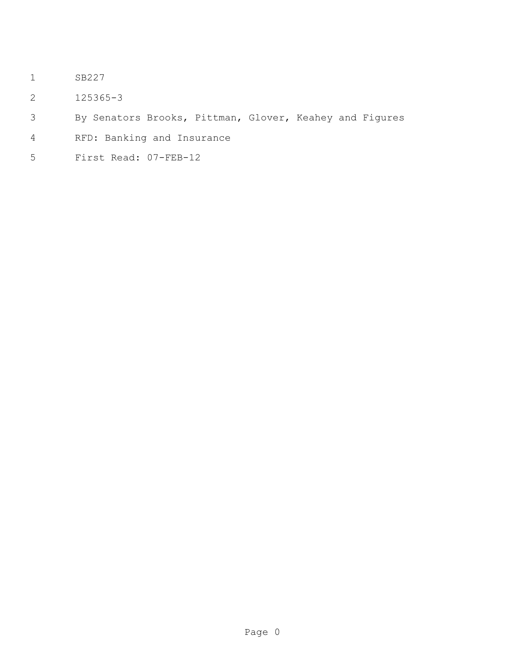- SB227
- 125365-3
- By Senators Brooks, Pittman, Glover, Keahey and Figures
- RFD: Banking and Insurance
- First Read: 07-FEB-12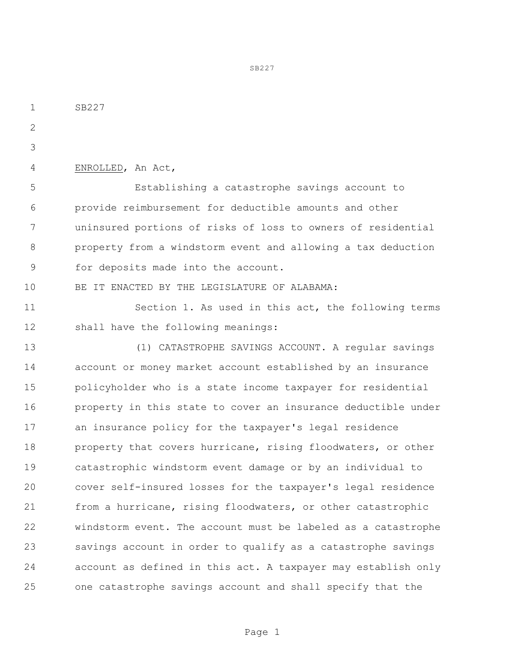SB227  $\mathcal{P}$  ENROLLED, An Act, Establishing a catastrophe savings account to provide reimbursement for deductible amounts and other uninsured portions of risks of loss to owners of residential property from a windstorm event and allowing a tax deduction for deposits made into the account. BE IT ENACTED BY THE LEGISLATURE OF ALABAMA: 11 Section 1. As used in this act, the following terms shall have the following meanings: (1) CATASTROPHE SAVINGS ACCOUNT. A regular savings account or money market account established by an insurance policyholder who is a state income taxpayer for residential property in this state to cover an insurance deductible under an insurance policy for the taxpayer's legal residence 18 property that covers hurricane, rising floodwaters, or other catastrophic windstorm event damage or by an individual to cover self-insured losses for the taxpayer's legal residence from a hurricane, rising floodwaters, or other catastrophic windstorm event. The account must be labeled as a catastrophe savings account in order to qualify as a catastrophe savings account as defined in this act. A taxpayer may establish only one catastrophe savings account and shall specify that the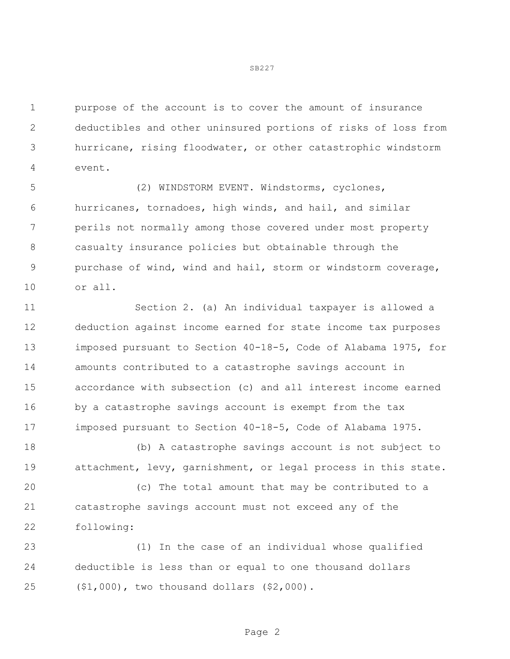purpose of the account is to cover the amount of insurance deductibles and other uninsured portions of risks of loss from hurricane, rising floodwater, or other catastrophic windstorm event.

 (2) WINDSTORM EVENT. Windstorms, cyclones, hurricanes, tornadoes, high winds, and hail, and similar perils not normally among those covered under most property casualty insurance policies but obtainable through the purchase of wind, wind and hail, storm or windstorm coverage, or all.

 Section 2. (a) An individual taxpayer is allowed a deduction against income earned for state income tax purposes imposed pursuant to Section 40-18-5, Code of Alabama 1975, for amounts contributed to a catastrophe savings account in accordance with subsection (c) and all interest income earned by a catastrophe savings account is exempt from the tax imposed pursuant to Section 40-18-5, Code of Alabama 1975.

 (b) A catastrophe savings account is not subject to attachment, levy, garnishment, or legal process in this state.

 (c) The total amount that may be contributed to a catastrophe savings account must not exceed any of the following:

 (1) In the case of an individual whose qualified deductible is less than or equal to one thousand dollars (\$1,000), two thousand dollars (\$2,000).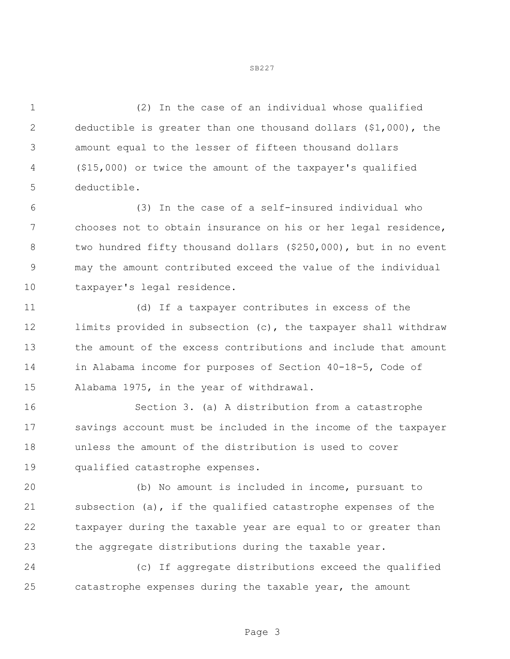(2) In the case of an individual whose qualified deductible is greater than one thousand dollars (\$1,000), the amount equal to the lesser of fifteen thousand dollars (\$15,000) or twice the amount of the taxpayer's qualified deductible.

 (3) In the case of a self-insured individual who chooses not to obtain insurance on his or her legal residence, 8 two hundred fifty thousand dollars (\$250,000), but in no event may the amount contributed exceed the value of the individual taxpayer's legal residence.

 (d) If a taxpayer contributes in excess of the limits provided in subsection (c), the taxpayer shall withdraw the amount of the excess contributions and include that amount in Alabama income for purposes of Section 40-18-5, Code of Alabama 1975, in the year of withdrawal.

 Section 3. (a) A distribution from a catastrophe savings account must be included in the income of the taxpayer unless the amount of the distribution is used to cover qualified catastrophe expenses.

 (b) No amount is included in income, pursuant to subsection (a), if the qualified catastrophe expenses of the taxpayer during the taxable year are equal to or greater than the aggregate distributions during the taxable year.

 (c) If aggregate distributions exceed the qualified catastrophe expenses during the taxable year, the amount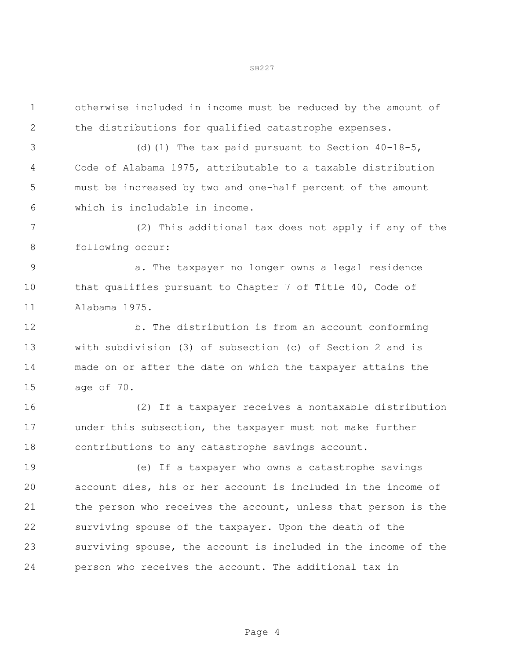| $\mathbf 1$   | otherwise included in income must be reduced by the amount of  |
|---------------|----------------------------------------------------------------|
| 2             | the distributions for qualified catastrophe expenses.          |
| 3             | (d) (1) The tax paid pursuant to Section $40-18-5$ ,           |
| 4             | Code of Alabama 1975, attributable to a taxable distribution   |
| 5             | must be increased by two and one-half percent of the amount    |
| 6             | which is includable in income.                                 |
| 7             | (2) This additional tax does not apply if any of the           |
| 8             | following occur:                                               |
| $\mathcal{G}$ | a. The taxpayer no longer owns a legal residence               |
| 10            | that qualifies pursuant to Chapter 7 of Title 40, Code of      |
| 11            | Alabama 1975.                                                  |
| 12            | b. The distribution is from an account conforming              |
| 13            | with subdivision $(3)$ of subsection $(c)$ of Section 2 and is |
| 14            | made on or after the date on which the taxpayer attains the    |
| 15            | age of 70.                                                     |
| 16            | (2) If a taxpayer receives a nontaxable distribution           |
| 17            | under this subsection, the taxpayer must not make further      |
| 18            | contributions to any catastrophe savings account.              |
| 19            | (e) If a taxpayer who owns a catastrophe savings               |
| 20            | account dies, his or her account is included in the income of  |
| 21            | the person who receives the account, unless that person is the |
| 22            | surviving spouse of the taxpayer. Upon the death of the        |
| 23            | surviving spouse, the account is included in the income of the |
| 24            | person who receives the account. The additional tax in         |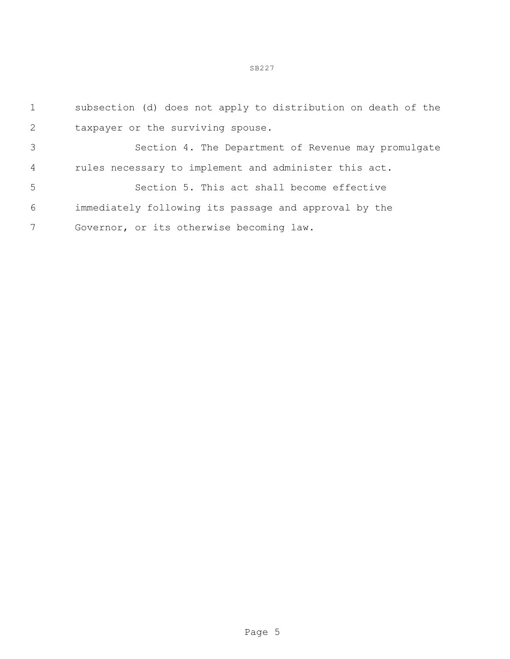subsection (d) does not apply to distribution on death of the taxpayer or the surviving spouse. Section 4. The Department of Revenue may promulgate rules necessary to implement and administer this act. Section 5. This act shall become effective immediately following its passage and approval by the Governor, or its otherwise becoming law.